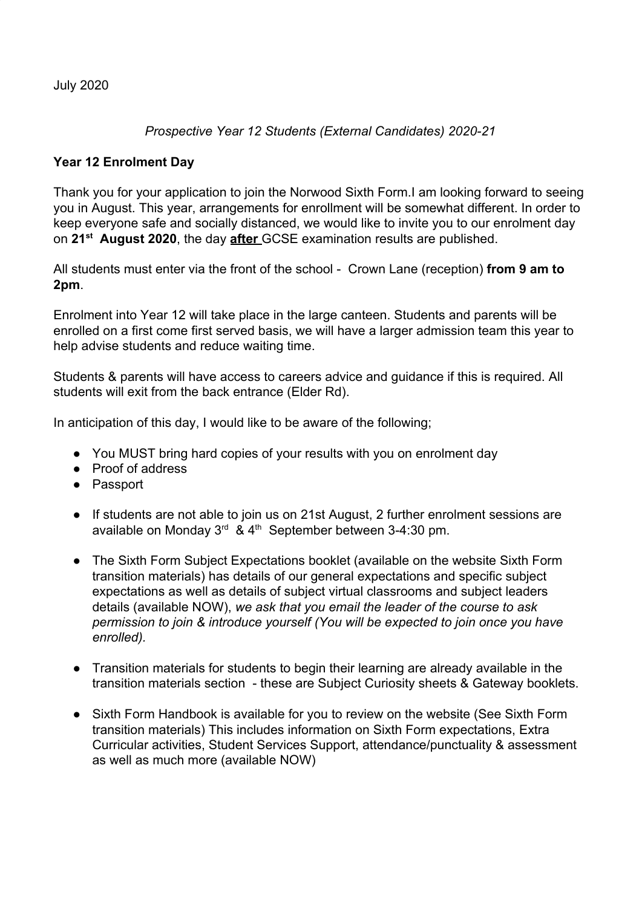July 2020

## *Prospective Year 12 Students (External Candidates) 2020-21*

## **Year 12 Enrolment Day**

Thank you for your application to join the Norwood Sixth Form.I am looking forward to seeing you in August. This year, arrangements for enrollment will be somewhat different. In order to keep everyone safe and socially distanced, we would like to invite you to our enrolment day on **21st August 2020**, the day **after** GCSE examination results are published.

All students must enter via the front of the school - Crown Lane (reception) **from 9 am to 2pm**.

Enrolment into Year 12 will take place in the large canteen. Students and parents will be enrolled on a first come first served basis, we will have a larger admission team this year to help advise students and reduce waiting time.

Students & parents will have access to careers advice and guidance if this is required. All students will exit from the back entrance (Elder Rd).

In anticipation of this day, I would like to be aware of the following;

- You MUST bring hard copies of your results with you on enrolment day
- Proof of address
- Passport
- If students are not able to join us on 21st August, 2 further enrolment sessions are available on Monday  $3^{rd}$  & 4<sup>th</sup> September between 3-4:30 pm.
- The Sixth Form Subject Expectations booklet (available on the website Sixth Form transition materials) has details of our general expectations and specific subject expectations as well as details of subject virtual classrooms and subject leaders details (available NOW), *we ask that you email the leader of the course to ask permission to join & introduce yourself (You will be expected to join once you have enrolled).*
- Transition materials for students to begin their learning are already available in the transition materials section - these are Subject Curiosity sheets & Gateway booklets.
- Sixth Form Handbook is available for you to review on the website (See Sixth Form transition materials) This includes information on Sixth Form expectations, Extra Curricular activities, Student Services Support, attendance/punctuality & assessment as well as much more (available NOW)